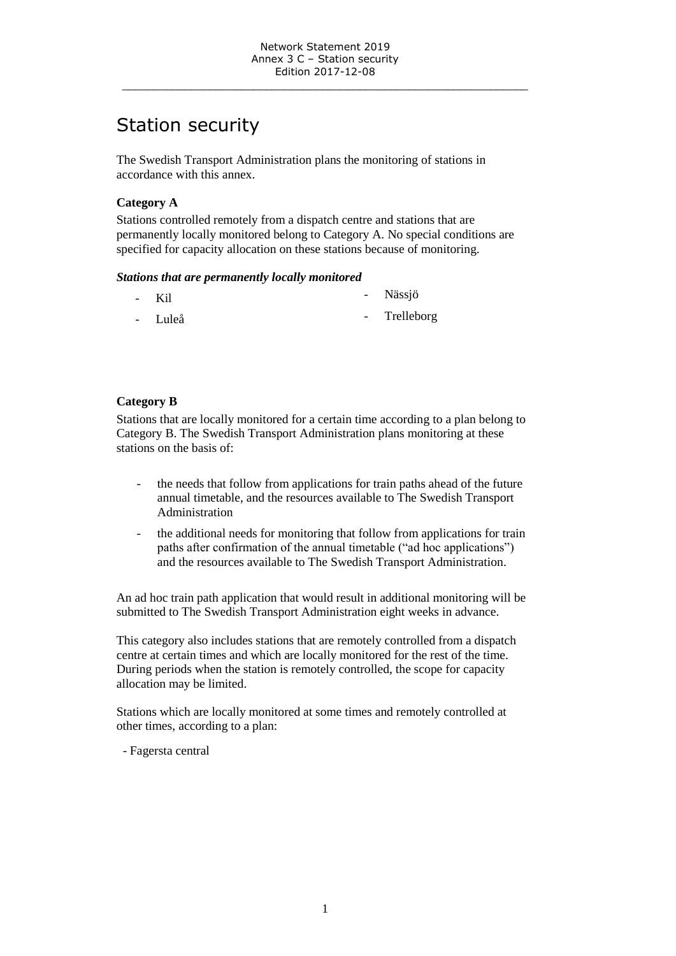\_\_\_\_\_\_\_\_\_\_\_\_\_\_\_\_\_\_\_\_\_\_\_\_\_\_\_\_\_\_\_\_\_\_\_\_\_\_\_\_\_\_\_\_\_\_\_\_\_\_\_\_\_\_\_\_\_\_\_\_\_\_\_\_\_

# Station security

The Swedish Transport Administration plans the monitoring of stations in accordance with this annex.

# **Category A**

Stations controlled remotely from a dispatch centre and stations that are permanently locally monitored belong to Category A. No special conditions are specified for capacity allocation on these stations because of monitoring.

#### *Stations that are permanently locally monitored*

| - Kil   | - Nässjö     |
|---------|--------------|
| - Luleå | - Trelleborg |

## **Category B**

Stations that are locally monitored for a certain time according to a plan belong to Category B. The Swedish Transport Administration plans monitoring at these stations on the basis of:

- the needs that follow from applications for train paths ahead of the future annual timetable, and the resources available to The Swedish Transport Administration
- the additional needs for monitoring that follow from applications for train paths after confirmation of the annual timetable ("ad hoc applications") and the resources available to The Swedish Transport Administration.

An ad hoc train path application that would result in additional monitoring will be submitted to The Swedish Transport Administration eight weeks in advance.

This category also includes stations that are remotely controlled from a dispatch centre at certain times and which are locally monitored for the rest of the time. During periods when the station is remotely controlled, the scope for capacity allocation may be limited.

Stations which are locally monitored at some times and remotely controlled at other times, according to a plan:

- Fagersta central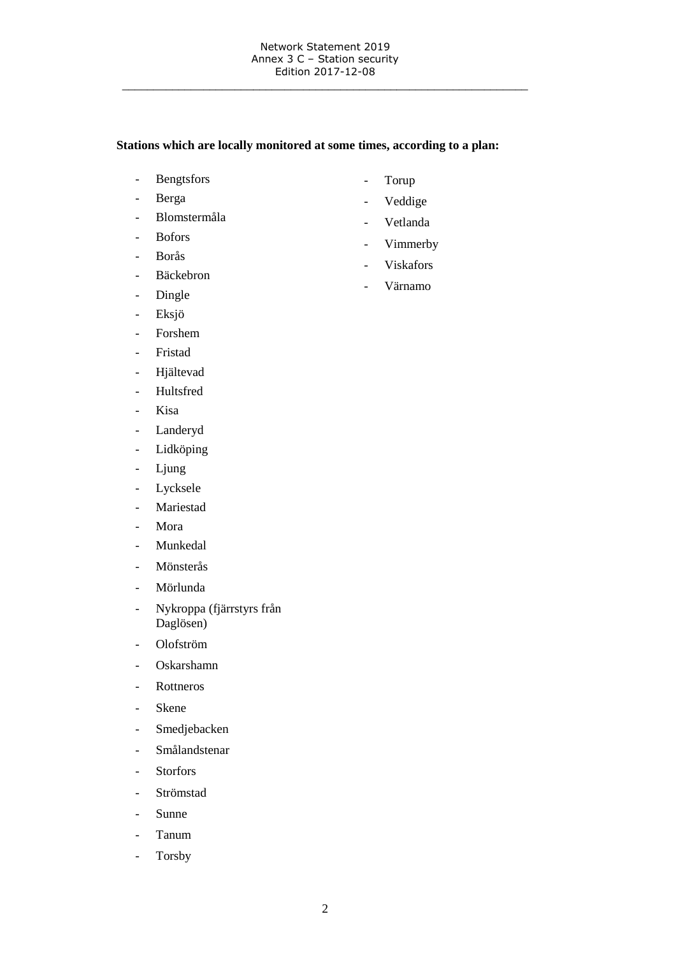\_\_\_\_\_\_\_\_\_\_\_\_\_\_\_\_\_\_\_\_\_\_\_\_\_\_\_\_\_\_\_\_\_\_\_\_\_\_\_\_\_\_\_\_\_\_\_\_\_\_\_\_\_\_\_\_\_\_\_\_\_\_\_\_\_

# **Stations which are locally monitored at some times, according to a plan:**

- Bengtsfors
- Berga
- Blomstermåla
- Bofors
- Borås
- Bäckebron
- Dingle
- Eksjö
- Forshem
- Fristad
- Hjältevad
- Hultsfred
- Kisa
- Landeryd
- Lidköping
- Ljung
- Lycksele
- Mariestad
- Mora
- Munkedal
- Mönsterås
- Mörlunda
- Nykroppa (fjärrstyrs från Daglösen)
- Olofström
- Oskarshamn
- Rottneros
- Skene
- Smedjebacken
- Smålandstenar
- Storfors
- Strömstad
- Sunne
- Tanum
- Torsby
- Torup
- Veddige
- Vetlanda
- Vimmerby
- Viskafors
- Värnamo